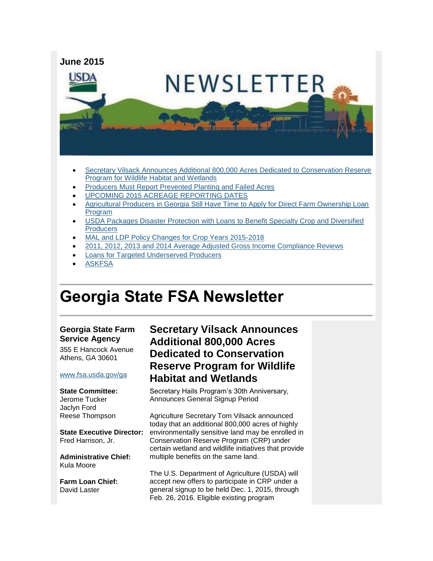

- Secretary Vilsack [Announces Additional 800,000 Acres Dedicated to Conservation Reserve](#page-0-0)  [Program for Wildlife Habitat and Wetlands](#page-0-0)
- [Producers Must Report Prevented Planting and Failed Acres](#page-2-0)
- [UPCOMING 2015 ACREAGE REPORTING DATES](#page-2-1)
- [Agricultural Producers in Georgia Still Have Time to Apply for Direct Farm Ownership Loan](#page-3-0)  [Program](#page-3-0)
- [USDA Packages Disaster Protection with Loans to Benefit Specialty Crop and Diversified](#page-3-1)  **Producers**
- [MAL and LDP Policy Changes for Crop Years 2015-2018](#page-4-0)
- [2011, 2012, 2013 and 2014 Average Adjusted Gross Income Compliance Reviews](#page-5-0)
- [Loans for Targeted Underserved Producers](#page-5-1)
- [ASKFSA](#page-5-2)

# **Georgia State FSA Newsletter**

#### **Georgia State Farm Service Agency**

355 E Hancock Avenue Athens, GA 30601

#### [www.fsa.usda.gov/ga](http://www.fsa.usda.gov/ga)

**State Committee:** Jerome Tucker Jaclyn Ford Reese Thompson

**State Executive Director:** Fred Harrison, Jr.

**Administrative Chief:** Kula Moore

**Farm Loan Chief:** David Laster

## <span id="page-0-0"></span>**Secretary Vilsack Announces Additional 800,000 Acres Dedicated to Conservation Reserve Program for Wildlife Habitat and Wetlands**

Secretary Hails Program's 30th Anniversary, Announces General Signup Period

Agriculture Secretary Tom Vilsack announced today that an additional 800,000 acres of highly environmentally sensitive land may be enrolled in Conservation Reserve Program (CRP) under certain wetland and wildlife initiatives that provide multiple benefits on the same land.

The U.S. Department of Agriculture (USDA) will accept new offers to participate in CRP under a general signup to be held Dec. 1, 2015, through Feb. 26, 2016. Eligible existing program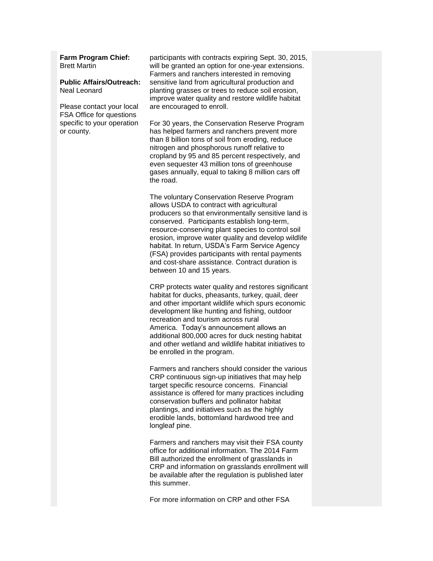#### **Farm Program Chief:** Brett Martin

#### **Public Affairs/Outreach:** Neal Leonard

Please contact your local FSA Office for questions specific to your operation or county.

participants with contracts expiring Sept. 30, 2015, will be granted an option for one-year extensions. Farmers and ranchers interested in removing sensitive land from agricultural production and planting grasses or trees to reduce soil erosion, improve water quality and restore wildlife habitat are encouraged to enroll.

For 30 years, the Conservation Reserve Program has helped farmers and ranchers prevent more than 8 billion tons of soil from eroding, reduce nitrogen and phosphorous runoff relative to cropland by 95 and 85 percent respectively, and even sequester 43 million tons of greenhouse gases annually, equal to taking 8 million cars off the road.

The voluntary Conservation Reserve Program allows USDA to contract with agricultural producers so that environmentally sensitive land is conserved. Participants establish long-term, resource-conserving plant species to control soil erosion, improve water quality and develop wildlife habitat. In return, USDA's Farm Service Agency (FSA) provides participants with rental payments and cost-share assistance. Contract duration is between 10 and 15 years.

CRP protects water quality and restores significant habitat for ducks, pheasants, turkey, quail, deer and other important wildlife which spurs economic development like hunting and fishing, outdoor recreation and tourism across rural America. Today's announcement allows an additional 800,000 acres for duck nesting habitat and other wetland and wildlife habitat initiatives to be enrolled in the program.

Farmers and ranchers should consider the various CRP continuous sign-up initiatives that may help target specific resource concerns. Financial assistance is offered for many practices including conservation buffers and pollinator habitat plantings, and initiatives such as the highly erodible lands, bottomland hardwood tree and longleaf pine.

Farmers and ranchers may visit their FSA county office for additional information. The 2014 Farm Bill authorized the enrollment of grasslands in CRP and information on grasslands enrollment will be available after the regulation is published later this summer.

For more information on CRP and other FSA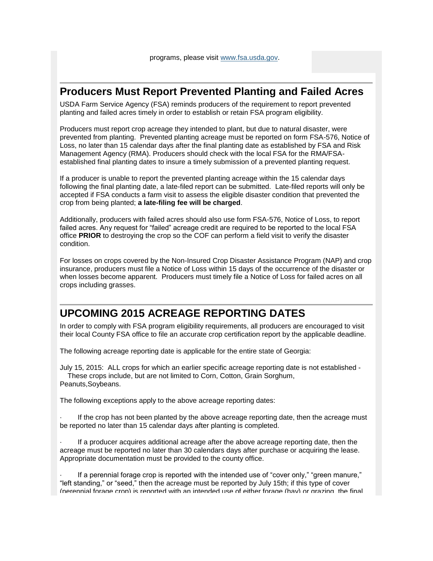#### <span id="page-2-0"></span>**Producers Must Report Prevented Planting and Failed Acres**

USDA Farm Service Agency (FSA) reminds producers of the requirement to report prevented planting and failed acres timely in order to establish or retain FSA program eligibility.

Producers must report crop acreage they intended to plant, but due to natural disaster, were prevented from planting. Prevented planting acreage must be reported on form FSA-576, Notice of Loss, no later than 15 calendar days after the final planting date as established by FSA and Risk Management Agency (RMA). Producers should check with the local FSA for the RMA/FSAestablished final planting dates to insure a timely submission of a prevented planting request.

If a producer is unable to report the prevented planting acreage within the 15 calendar days following the final planting date, a late-filed report can be submitted. Late-filed reports will only be accepted if FSA conducts a farm visit to assess the eligible disaster condition that prevented the crop from being planted; **a late-filing fee will be charged**.

Additionally, producers with failed acres should also use form FSA-576, Notice of Loss, to report failed acres. Any request for "failed" acreage credit are required to be reported to the local FSA office **PRIOR** to destroying the crop so the COF can perform a field visit to verify the disaster condition.

For losses on crops covered by the Non-Insured Crop Disaster Assistance Program (NAP) and crop insurance, producers must file a Notice of Loss within 15 days of the occurrence of the disaster or when losses become apparent. Producers must timely file a Notice of Loss for failed acres on all crops including grasses.

## <span id="page-2-1"></span>**UPCOMING 2015 ACREAGE REPORTING DATES**

In order to comply with FSA program eligibility requirements, all producers are encouraged to visit their local County FSA office to file an accurate crop certification report by the applicable deadline.

The following acreage reporting date is applicable for the entire state of Georgia:

July 15, 2015: ALL crops for which an earlier specific acreage reporting date is not established - These crops include, but are not limited to Corn, Cotton, Grain Sorghum, Peanuts,Soybeans.

The following exceptions apply to the above acreage reporting dates:

If the crop has not been planted by the above acreage reporting date, then the acreage must be reported no later than 15 calendar days after planting is completed.

· If a producer acquires additional acreage after the above acreage reporting date, then the acreage must be reported no later than 30 calendars days after purchase or acquiring the lease. Appropriate documentation must be provided to the county office.

If a perennial forage crop is reported with the intended use of "cover only," "green manure," "left standing," or "seed," then the acreage must be reported by July 15th; if this type of cover (perennial forage crop) is reported with an intended use of either forage (hay) or grazing, the final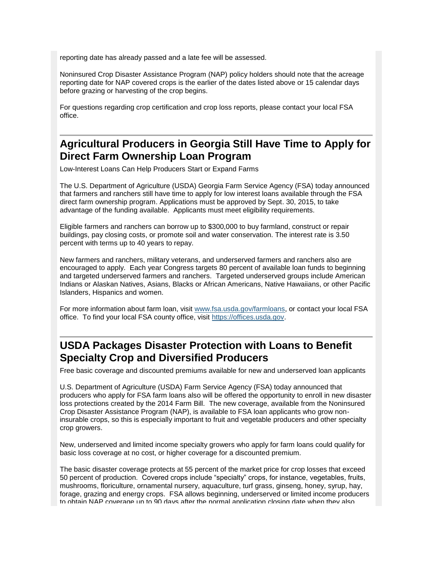reporting date has already passed and a late fee will be assessed.

Noninsured Crop Disaster Assistance Program (NAP) policy holders should note that the acreage reporting date for NAP covered crops is the earlier of the dates listed above or 15 calendar days before grazing or harvesting of the crop begins.

For questions regarding crop certification and crop loss reports, please contact your local FSA office.

### <span id="page-3-0"></span>**Agricultural Producers in Georgia Still Have Time to Apply for Direct Farm Ownership Loan Program**

Low-Interest Loans Can Help Producers Start or Expand Farms

The U.S. Department of Agriculture (USDA) Georgia Farm Service Agency (FSA) today announced that farmers and ranchers still have time to apply for low interest loans available through the FSA direct farm ownership program. Applications must be approved by Sept. 30, 2015, to take advantage of the funding available. Applicants must meet eligibility requirements.

Eligible farmers and ranchers can borrow up to \$300,000 to buy farmland, construct or repair buildings, pay closing costs, or promote soil and water conservation. The interest rate is 3.50 percent with terms up to 40 years to repay.

New farmers and ranchers, military veterans, and underserved farmers and ranchers also are encouraged to apply. Each year Congress targets 80 percent of available loan funds to beginning and targeted underserved farmers and ranchers. Targeted underserved groups include American Indians or Alaskan Natives, Asians, Blacks or African Americans, Native Hawaiians, or other Pacific Islanders, Hispanics and women.

For more information about farm loan, visit [www.fsa.usda.gov/farmloans,](http://www.fsa.usda.gov/farmloans) or contact your local FSA office. To find your local FSA county office, visit [https://offices.usda.gov.](https://offices.usda.gov/)

#### <span id="page-3-1"></span>**USDA Packages Disaster Protection with Loans to Benefit Specialty Crop and Diversified Producers**

Free basic coverage and discounted premiums available for new and underserved loan applicants

U.S. Department of Agriculture (USDA) Farm Service Agency (FSA) today announced that producers who apply for FSA farm loans also will be offered the opportunity to enroll in new disaster loss protections created by the 2014 Farm Bill. The new coverage, available from the Noninsured Crop Disaster Assistance Program (NAP), is available to FSA loan applicants who grow noninsurable crops, so this is especially important to fruit and vegetable producers and other specialty crop growers.

New, underserved and limited income specialty growers who apply for farm loans could qualify for basic loss coverage at no cost, or higher coverage for a discounted premium.

The basic disaster coverage protects at 55 percent of the market price for crop losses that exceed 50 percent of production. Covered crops include "specialty" crops, for instance, vegetables, fruits, mushrooms, floriculture, ornamental nursery, aquaculture, turf grass, ginseng, honey, syrup, hay, forage, grazing and energy crops. FSA allows beginning, underserved or limited income producers to obtain NAP coverage up to 90 days after the normal application closing date when they also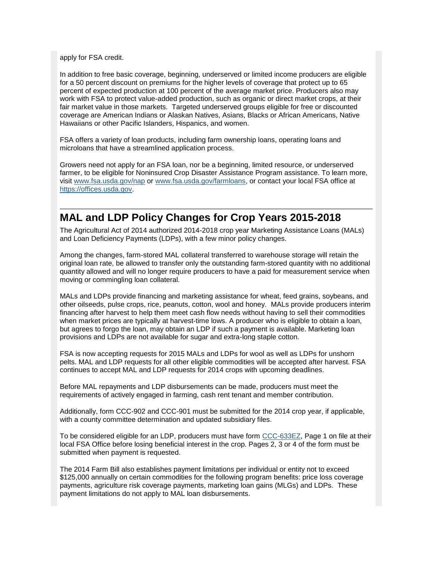apply for FSA credit.

In addition to free basic coverage, beginning, underserved or limited income producers are eligible for a 50 percent discount on premiums for the higher levels of coverage that protect up to 65 percent of expected production at 100 percent of the average market price. Producers also may work with FSA to protect value-added production, such as organic or direct market crops, at their fair market value in those markets. Targeted underserved groups eligible for free or discounted coverage are American Indians or Alaskan Natives, Asians, Blacks or African Americans, Native Hawaiians or other Pacific Islanders, Hispanics, and women.

FSA offers a variety of loan products, including farm ownership loans, operating loans and microloans that have a streamlined application process.

Growers need not apply for an FSA loan, nor be a beginning, limited resource, or underserved farmer, to be eligible for Noninsured Crop Disaster Assistance Program assistance. To learn more, visit [www.fsa.usda.gov/nap](http://www.fsa.usda.gov/nap) or [www.fsa.usda.gov/farmloans,](http://www.fsa.usda.gov/programs-and-services/farm-loan-programs/index) or contact your local FSA office at [https://offices.usda.gov.](http://links.govdelivery.com/track?type=click&enid=ZWFzPTEmbWFpbGluZ2lkPTIwMTUwNTEzLjQ0OTUwNTUxJm1lc3NhZ2VpZD1NREItUFJELUJVTC0yMDE1MDUxMy40NDk1MDU1MSZkYXRhYmFzZWlkPTEwMDEmc2VyaWFsPTE3MTI2NTkzJmVtYWlsaWQ9aXNhYmVsLmJlbmVtZWxpc0B3ZGMudXNkYS5nb3YmdXNlcmlkPWlzYWJlbC5iZW5lbWVsaXNAd2RjLnVzZGEuZ292JmZsPSZleHRyYT1NdWx0aXZhcmlhdGVJZD0mJiY=&&&101&&&http://offices.usda.gov)

#### <span id="page-4-0"></span>**MAL and LDP Policy Changes for Crop Years 2015-2018**

The Agricultural Act of 2014 authorized 2014-2018 crop year Marketing Assistance Loans (MALs) and Loan Deficiency Payments (LDPs), with a few minor policy changes.

Among the changes, farm-stored MAL collateral transferred to warehouse storage will retain the original loan rate, be allowed to transfer only the outstanding farm-stored quantity with no additional quantity allowed and will no longer require producers to have a paid for measurement service when moving or commingling loan collateral.

MALs and LDPs provide financing and marketing assistance for wheat, feed grains, soybeans, and other oilseeds, pulse crops, rice, peanuts, cotton, wool and honey. MALs provide producers interim financing after harvest to help them meet cash flow needs without having to sell their commodities when market prices are typically at harvest-time lows. A producer who is eligible to obtain a loan, but agrees to forgo the loan, may obtain an LDP if such a payment is available. Marketing loan provisions and LDPs are not available for sugar and extra-long staple cotton.

FSA is now accepting requests for 2015 MALs and LDPs for wool as well as LDPs for unshorn pelts. MAL and LDP requests for all other eligible commodities will be accepted after harvest. FSA continues to accept MAL and LDP requests for 2014 crops with upcoming deadlines.

Before MAL repayments and LDP disbursements can be made, producers must meet the requirements of actively engaged in farming, cash rent tenant and member contribution.

Additionally, form CCC-902 and CCC-901 must be submitted for the 2014 crop year, if applicable, with a county committee determination and updated subsidiary files.

To be considered eligible for an LDP, producers must have form [CCC-633EZ,](http://forms.sc.egov.usda.gov/efcommon/eFileServices/eFormsAdmin/CCC0633EZ_140328V03.pdf) Page 1 on file at their local FSA Office before losing beneficial interest in the crop. Pages 2, 3 or 4 of the form must be submitted when payment is requested.

The 2014 Farm Bill also establishes payment limitations per individual or entity not to exceed \$125,000 annually on certain commodities for the following program benefits: price loss coverage payments, agriculture risk coverage payments, marketing loan gains (MLGs) and LDPs. These payment limitations do not apply to MAL loan disbursements.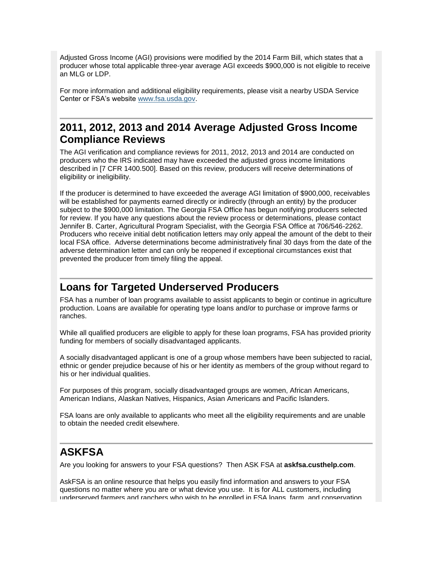Adjusted Gross Income (AGI) provisions were modified by the 2014 Farm Bill, which states that a producer whose total applicable three-year average AGI exceeds \$900,000 is not eligible to receive an MLG or LDP.

For more information and additional eligibility requirements, please visit a nearby USDA Service Center or FSA's website [www.fsa.usda.gov.](http://www.fsa.usda.gov/)

### <span id="page-5-0"></span>**2011, 2012, 2013 and 2014 Average Adjusted Gross Income Compliance Reviews**

The AGI verification and compliance reviews for 2011, 2012, 2013 and 2014 are conducted on producers who the IRS indicated may have exceeded the adjusted gross income limitations described in [7 CFR 1400.500]. Based on this review, producers will receive determinations of eligibility or ineligibility.

If the producer is determined to have exceeded the average AGI limitation of \$900,000, receivables will be established for payments earned directly or indirectly (through an entity) by the producer subject to the \$900,000 limitation. The Georgia FSA Office has begun notifying producers selected for review. If you have any questions about the review process or determinations, please contact Jennifer B. Carter, Agricultural Program Specialist, with the Georgia FSA Office at 706/546-2262. Producers who receive initial debt notification letters may only appeal the amount of the debt to their local FSA office. Adverse determinations become administratively final 30 days from the date of the adverse determination letter and can only be reopened if exceptional circumstances exist that prevented the producer from timely filing the appeal.

#### <span id="page-5-1"></span>**Loans for Targeted Underserved Producers**

FSA has a number of loan programs available to assist applicants to begin or continue in agriculture production. Loans are available for operating type loans and/or to purchase or improve farms or ranches.

While all qualified producers are eligible to apply for these loan programs, FSA has provided priority funding for members of socially disadvantaged applicants.

A socially disadvantaged applicant is one of a group whose members have been subjected to racial, ethnic or gender prejudice because of his or her identity as members of the group without regard to his or her individual qualities.

For purposes of this program, socially disadvantaged groups are women, African Americans, American Indians, Alaskan Natives, Hispanics, Asian Americans and Pacific Islanders.

FSA loans are only available to applicants who meet all the eligibility requirements and are unable to obtain the needed credit elsewhere.

## <span id="page-5-2"></span>**ASKFSA**

Are you looking for answers to your FSA questions? Then ASK FSA at **askfsa.custhelp.com**.

AskFSA is an online resource that helps you easily find information and answers to your FSA questions no matter where you are or what device you use. It is for ALL customers, including underserved farmers and ranchers who wish to be enrolled in FSA loans, farm, and conservation